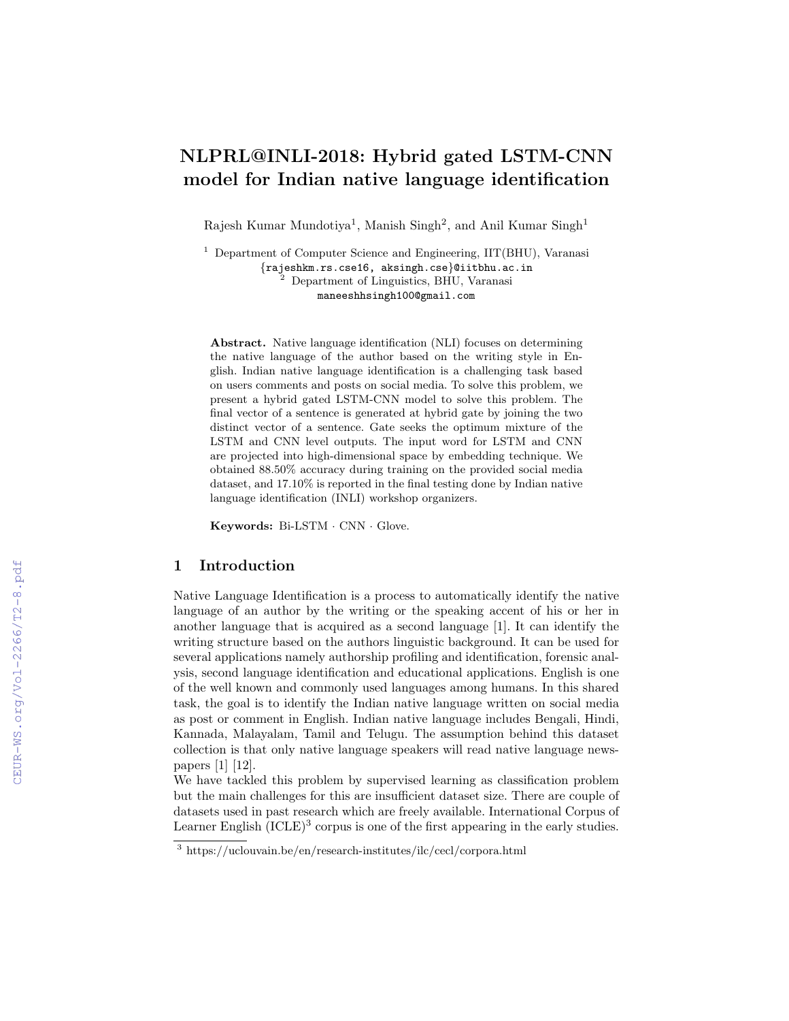# NLPRL@INLI-2018: Hybrid gated LSTM-CNN model for Indian native language identification

Rajesh Kumar Mundotiya<sup>1</sup>, Manish Singh<sup>2</sup>, and Anil Kumar Singh<sup>1</sup>

<sup>1</sup> Department of Computer Science and Engineering, IIT(BHU), Varanasi {rajeshkm.rs.cse16, aksingh.cse}@iitbhu.ac.in <sup>2</sup> Department of Linguistics, BHU, Varanasi maneeshhsingh100@gmail.com

Abstract. Native language identification (NLI) focuses on determining the native language of the author based on the writing style in English. Indian native language identification is a challenging task based on users comments and posts on social media. To solve this problem, we present a hybrid gated LSTM-CNN model to solve this problem. The final vector of a sentence is generated at hybrid gate by joining the two distinct vector of a sentence. Gate seeks the optimum mixture of the LSTM and CNN level outputs. The input word for LSTM and CNN are projected into high-dimensional space by embedding technique. We obtained 88.50% accuracy during training on the provided social media dataset, and 17.10% is reported in the final testing done by Indian native language identification (INLI) workshop organizers.

Keywords: Bi-LSTM · CNN · Glove.

## 1 Introduction

Native Language Identification is a process to automatically identify the native language of an author by the writing or the speaking accent of his or her in another language that is acquired as a second language [1]. It can identify the writing structure based on the authors linguistic background. It can be used for several applications namely authorship profiling and identification, forensic analysis, second language identification and educational applications. English is one of the well known and commonly used languages among humans. In this shared task, the goal is to identify the Indian native language written on social media as post or comment in English. Indian native language includes Bengali, Hindi, Kannada, Malayalam, Tamil and Telugu. The assumption behind this dataset collection is that only native language speakers will read native language newspapers [1] [12].

We have tackled this problem by supervised learning as classification problem but the main challenges for this are insufficient dataset size. There are couple of datasets used in past research which are freely available. International Corpus of Learner English  $(ICLE)^3$  corpus is one of the first appearing in the early studies.

 $3$  https://uclouvain.be/en/research-institutes/ilc/cecl/corpora.html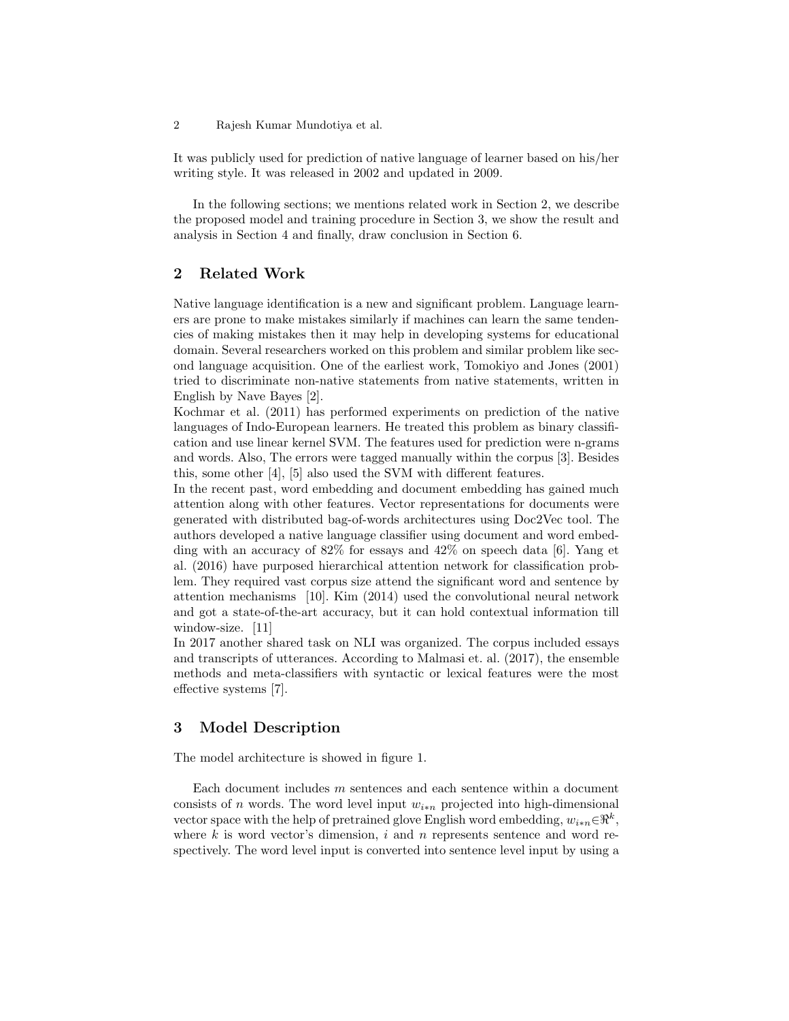2 Rajesh Kumar Mundotiya et al.

It was publicly used for prediction of native language of learner based on his/her writing style. It was released in 2002 and updated in 2009.

In the following sections; we mentions related work in Section 2, we describe the proposed model and training procedure in Section 3, we show the result and analysis in Section 4 and finally, draw conclusion in Section 6.

## 2 Related Work

Native language identification is a new and significant problem. Language learners are prone to make mistakes similarly if machines can learn the same tendencies of making mistakes then it may help in developing systems for educational domain. Several researchers worked on this problem and similar problem like second language acquisition. One of the earliest work, Tomokiyo and Jones (2001) tried to discriminate non-native statements from native statements, written in English by Nave Bayes [2].

Kochmar et al. (2011) has performed experiments on prediction of the native languages of Indo-European learners. He treated this problem as binary classification and use linear kernel SVM. The features used for prediction were n-grams and words. Also, The errors were tagged manually within the corpus [3]. Besides this, some other [4], [5] also used the SVM with different features.

In the recent past, word embedding and document embedding has gained much attention along with other features. Vector representations for documents were generated with distributed bag-of-words architectures using Doc2Vec tool. The authors developed a native language classifier using document and word embedding with an accuracy of 82% for essays and 42% on speech data [6]. Yang et al. (2016) have purposed hierarchical attention network for classification problem. They required vast corpus size attend the significant word and sentence by attention mechanisms [10]. Kim (2014) used the convolutional neural network and got a state-of-the-art accuracy, but it can hold contextual information till window-size. [11]

In 2017 another shared task on NLI was organized. The corpus included essays and transcripts of utterances. According to Malmasi et. al. (2017), the ensemble methods and meta-classifiers with syntactic or lexical features were the most effective systems [7].

## 3 Model Description

The model architecture is showed in figure 1.

Each document includes m sentences and each sentence within a document consists of n words. The word level input  $w_{i*n}$  projected into high-dimensional vector space with the help of pretrained glove English word embedding,  $w_{i*n} \in \mathbb{R}^k$ , where  $k$  is word vector's dimension,  $i$  and  $n$  represents sentence and word respectively. The word level input is converted into sentence level input by using a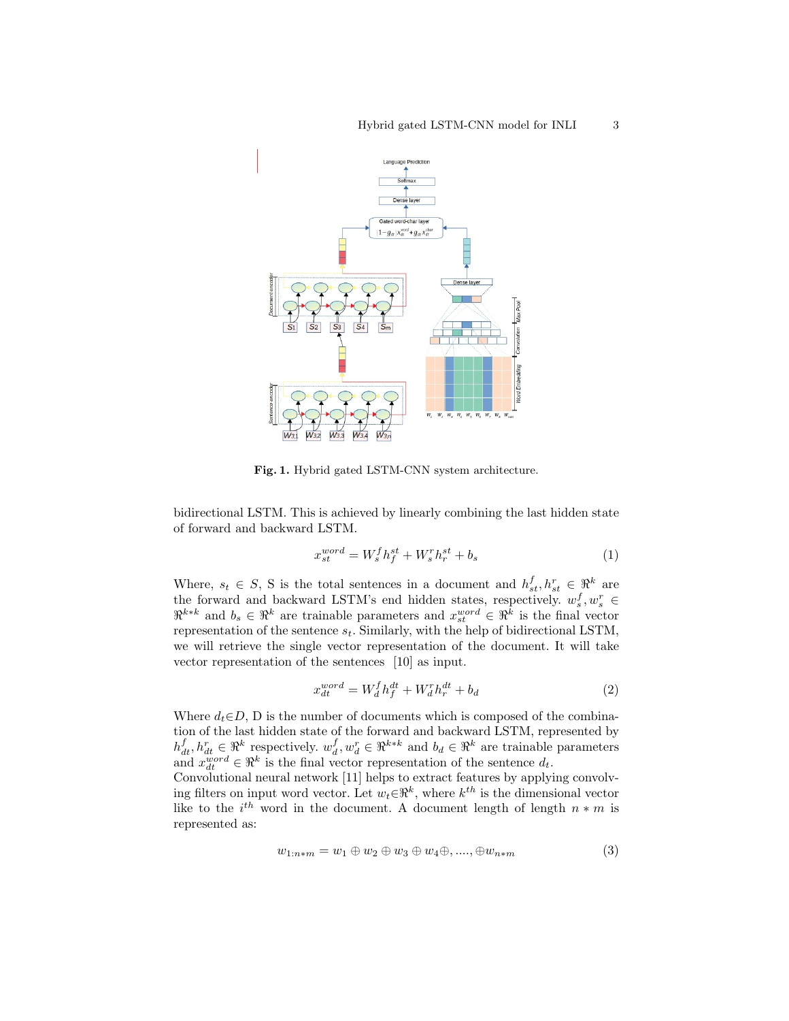

Fig. 1. Hybrid gated LSTM-CNN system architecture.

bidirectional LSTM. This is achieved by linearly combining the last hidden state of forward and backward LSTM.

$$
x_{st}^{word} = W_s^f h_f^{st} + W_s^r h_r^{st} + b_s \tag{1}
$$

Where,  $s_t \in S$ , S is the total sentences in a document and  $h_{st}^f, h_{st}^r \in \mathbb{R}^k$  are the forward and backward LSTM's end hidden states, respectively.  $w_s^f, w_s^r \in$  $\mathbb{R}^{k*k}$  and  $b_s \in \mathbb{R}^k$  are trainable parameters and  $x_{st}^{word} \in \mathbb{R}^k$  is the final vector representation of the sentence  $s_t$ . Similarly, with the help of bidirectional LSTM, we will retrieve the single vector representation of the document. It will take vector representation of the sentences [10] as input.

$$
x_{dt}^{word} = W_d^f h_f^{dt} + W_d^r h_r^{dt} + b_d \tag{2}
$$

Where  $d_t \in D$ , D is the number of documents which is composed of the combination of the last hidden state of the forward and backward LSTM, represented by  $h_{dt}^f, h_{dt}^r \in \mathbb{R}^k$  respectively.  $w_d^f, w_d^r \in \mathbb{R}^{k*k}$  and  $b_d \in \mathbb{R}^k$  are trainable parameters and  $x_{dt}^{word} \in \mathbb{R}^k$  is the final vector representation of the sentence  $d_t$ .

Convolutional neural network [11] helps to extract features by applying convolving filters on input word vector. Let  $w_t \in \mathbb{R}^k$ , where  $k^{th}$  is the dimensional vector like to the  $i^{th}$  word in the document. A document length of length  $n * m$  is represented as:

$$
w_{1:n*m} = w_1 \oplus w_2 \oplus w_3 \oplus w_4 \oplus \ldots, \oplus w_{n*m}
$$
\n
$$
(3)
$$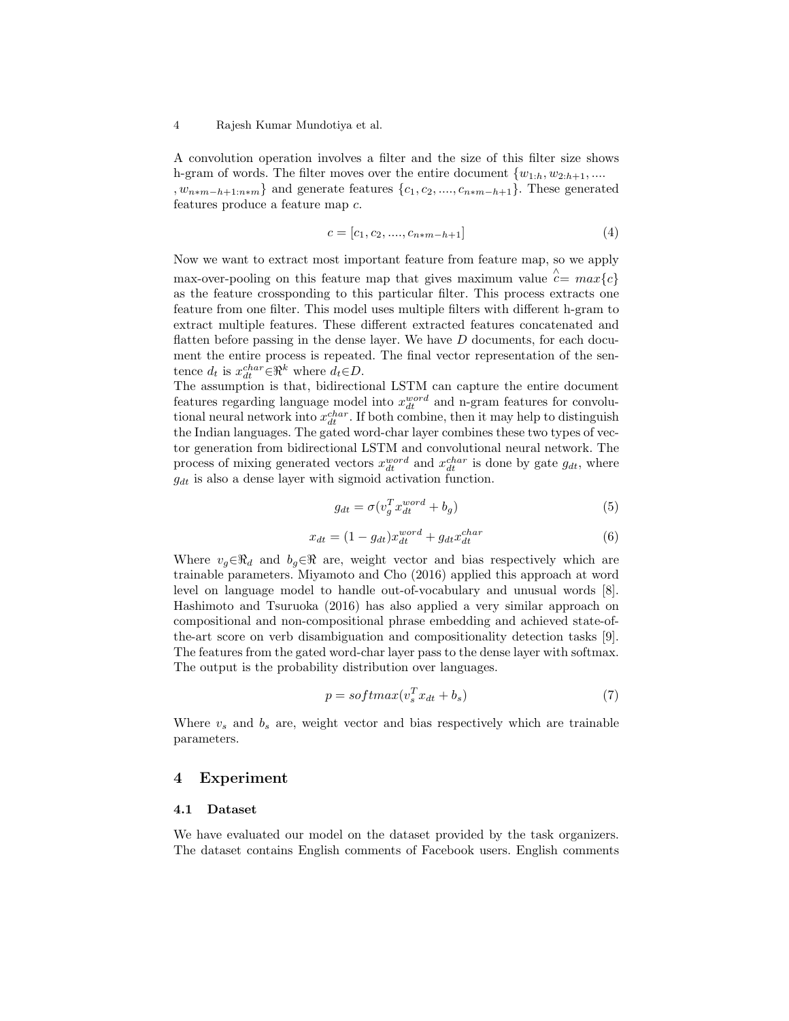#### 4 Rajesh Kumar Mundotiya et al.

A convolution operation involves a filter and the size of this filter size shows h-gram of words. The filter moves over the entire document  $\{w_{1:h}, w_{2:h+1}, \dots\}$ 

,  $w_{n*m-h+1:n*m}$ } and generate features  $\{c_1, c_2, \ldots, c_{n*m-h+1}\}$ . These generated features produce a feature map c.

$$
c = [c_1, c_2, \dots, c_{n*m-h+1}] \tag{4}
$$

Now we want to extract most important feature from feature map, so we apply max-over-pooling on this feature map that gives maximum value  $\hat{c} = max\{c\}$ as the feature crossponding to this particular filter. This process extracts one feature from one filter. This model uses multiple filters with different h-gram to extract multiple features. These different extracted features concatenated and flatten before passing in the dense layer. We have  $D$  documents, for each document the entire process is repeated. The final vector representation of the sentence  $d_t$  is  $x_{dt}^{char} \in \mathbb{R}^k$  where  $d_t \in D$ .

The assumption is that, bidirectional LSTM can capture the entire document features regarding language model into  $x_{dt}^{word}$  and n-gram features for convolutional neural network into  $x_{dt}^{char}$ . If both combine, then it may help to distinguish the Indian languages. The gated word-char layer combines these two types of vector generation from bidirectional LSTM and convolutional neural network. The process of mixing generated vectors  $x_{dt}^{word}$  and  $x_{dt}^{char}$  is done by gate  $g_{dt}$ , where  $g_{dt}$  is also a dense layer with sigmoid activation function.

$$
g_{dt} = \sigma(v_g^T x_{dt}^{word} + b_g)
$$
\n<sup>(5)</sup>

$$
x_{dt} = (1 - g_{dt})x_{dt}^{word} + g_{dt}x_{dt}^{char}
$$
\n
$$
(6)
$$

Where  $v_g \in \mathbb{R}_d$  and  $b_g \in \mathbb{R}$  are, weight vector and bias respectively which are trainable parameters. Miyamoto and Cho (2016) applied this approach at word level on language model to handle out-of-vocabulary and unusual words [8]. Hashimoto and Tsuruoka (2016) has also applied a very similar approach on compositional and non-compositional phrase embedding and achieved state-ofthe-art score on verb disambiguation and compositionality detection tasks [9]. The features from the gated word-char layer pass to the dense layer with softmax. The output is the probability distribution over languages.

$$
p = softmax(v_s^T x_{dt} + b_s)
$$
\n(7)

Where  $v_s$  and  $b_s$  are, weight vector and bias respectively which are trainable parameters.

## 4 Experiment

#### 4.1 Dataset

We have evaluated our model on the dataset provided by the task organizers. The dataset contains English comments of Facebook users. English comments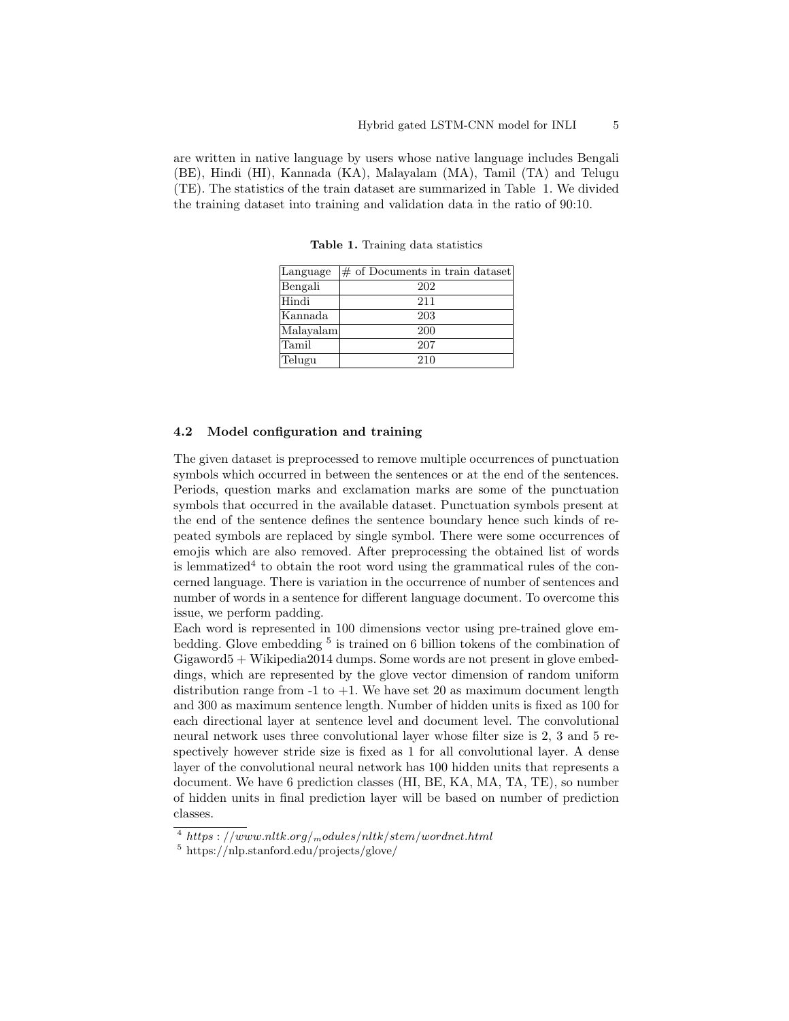are written in native language by users whose native language includes Bengali (BE), Hindi (HI), Kannada (KA), Malayalam (MA), Tamil (TA) and Telugu (TE). The statistics of the train dataset are summarized in Table 1. We divided the training dataset into training and validation data in the ratio of 90:10.

Language  $\#$  of Documents in train dataset Bengali 202 Hindi 211 Kannada 203 Malayalam 200 Tamil 207 Telugu | 210

Table 1. Training data statistics

### 4.2 Model configuration and training

The given dataset is preprocessed to remove multiple occurrences of punctuation symbols which occurred in between the sentences or at the end of the sentences. Periods, question marks and exclamation marks are some of the punctuation symbols that occurred in the available dataset. Punctuation symbols present at the end of the sentence defines the sentence boundary hence such kinds of repeated symbols are replaced by single symbol. There were some occurrences of emojis which are also removed. After preprocessing the obtained list of words is lemmatized<sup>4</sup> to obtain the root word using the grammatical rules of the concerned language. There is variation in the occurrence of number of sentences and number of words in a sentence for different language document. To overcome this issue, we perform padding.

Each word is represented in 100 dimensions vector using pre-trained glove embedding. Glove embedding <sup>5</sup> is trained on 6 billion tokens of the combination of Gigaword5 + Wikipedia2014 dumps. Some words are not present in glove embeddings, which are represented by the glove vector dimension of random uniform distribution range from  $-1$  to  $+1$ . We have set 20 as maximum document length and 300 as maximum sentence length. Number of hidden units is fixed as 100 for each directional layer at sentence level and document level. The convolutional neural network uses three convolutional layer whose filter size is 2, 3 and 5 respectively however stride size is fixed as 1 for all convolutional layer. A dense layer of the convolutional neural network has 100 hidden units that represents a document. We have 6 prediction classes (HI, BE, KA, MA, TA, TE), so number of hidden units in final prediction layer will be based on number of prediction classes.

<sup>&</sup>lt;sup>4</sup> https : //www.nltk.org/<sub>m</sub>odules/nltk/stem/wordnet.html

<sup>5</sup> https://nlp.stanford.edu/projects/glove/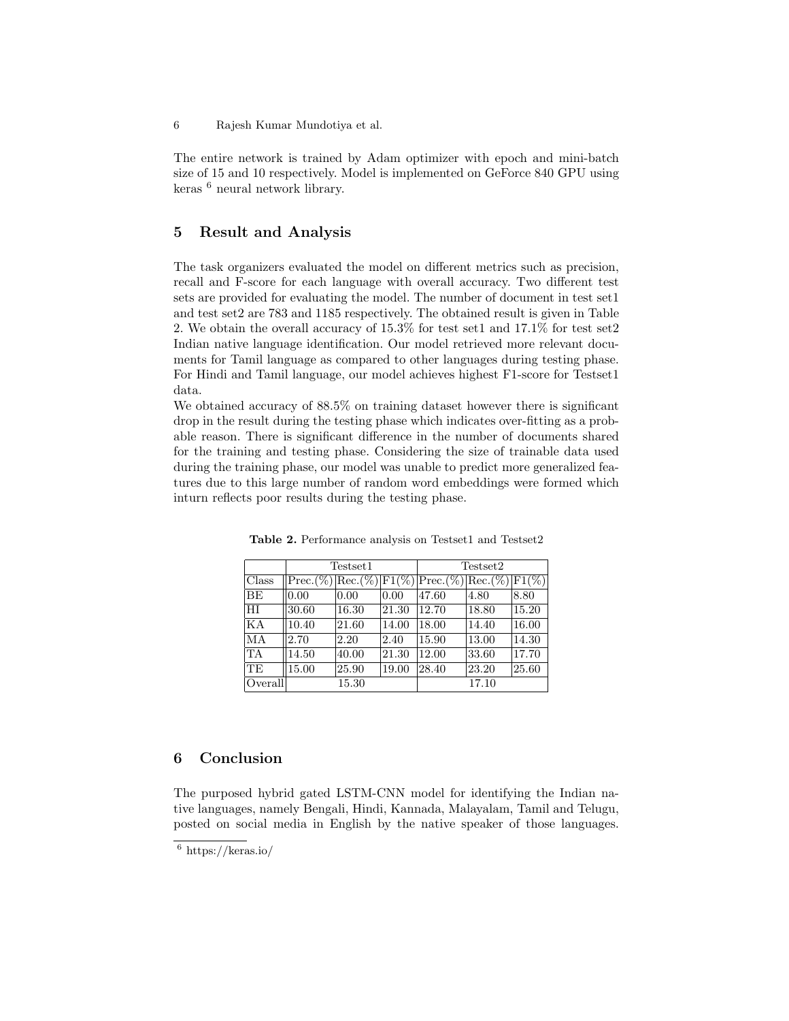The entire network is trained by Adam optimizer with epoch and mini-batch size of 15 and 10 respectively. Model is implemented on GeForce 840 GPU using keras <sup>6</sup> neural network library.

## 5 Result and Analysis

The task organizers evaluated the model on different metrics such as precision, recall and F-score for each language with overall accuracy. Two different test sets are provided for evaluating the model. The number of document in test set1 and test set2 are 783 and 1185 respectively. The obtained result is given in Table 2. We obtain the overall accuracy of 15.3% for test set1 and 17.1% for test set2 Indian native language identification. Our model retrieved more relevant documents for Tamil language as compared to other languages during testing phase. For Hindi and Tamil language, our model achieves highest F1-score for Testset1 data.

We obtained accuracy of  $88.5\%$  on training dataset however there is significant drop in the result during the testing phase which indicates over-fitting as a probable reason. There is significant difference in the number of documents shared for the training and testing phase. Considering the size of trainable data used during the training phase, our model was unable to predict more generalized features due to this large number of random word embeddings were formed which inturn reflects poor results during the testing phase.

|           | Testset1 |       |       | Testset2                                             |       |       |
|-----------|----------|-------|-------|------------------------------------------------------|-------|-------|
| Class     |          |       |       | $Prec(\%) Rec.(\%) F1(\%) Prec.(\%) Rec.(\%) F1(\%)$ |       |       |
| <b>BE</b> | 0.00     | 0.00  | 0.00  | 47.60                                                | 4.80  | 8.80  |
| HI        | 30.60    | 16.30 | 21.30 | 12.70                                                | 18.80 | 15.20 |
| KA        | 10.40    | 21.60 | 14.00 | 18.00                                                | 14.40 | 16.00 |
| MA        | 2.70     | 2.20  | 2.40  | 15.90                                                | 13.00 | 14.30 |
| TA        | 14.50    | 40.00 | 21.30 | 12.00                                                | 33.60 | 17.70 |
| <b>TE</b> | 15.00    | 25.90 | 19.00 | 28.40                                                | 23.20 | 25.60 |
| Overall   |          | 15.30 |       |                                                      | 17.10 |       |

Table 2. Performance analysis on Testset1 and Testset2

## 6 Conclusion

The purposed hybrid gated LSTM-CNN model for identifying the Indian native languages, namely Bengali, Hindi, Kannada, Malayalam, Tamil and Telugu, posted on social media in English by the native speaker of those languages.

<sup>6</sup> https://keras.io/